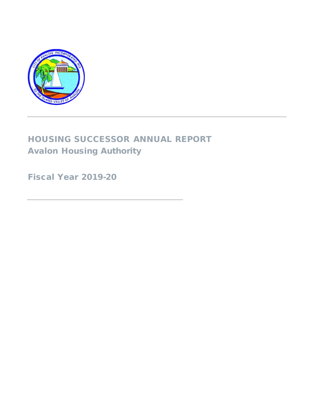

# HOUSING SUCCESSOR ANNUAL REPORT Avalon Housing Authority

Fiscal Year 2019-20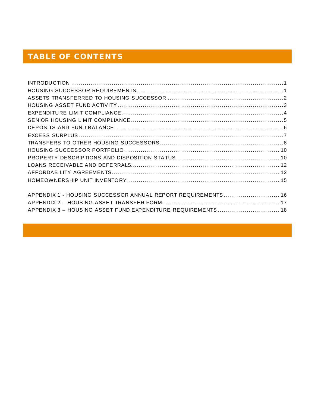## **TABLE OF CONTENTS**

| APPENDIX 1 - HOUSING SUCCESSOR ANNUAL REPORT REQUIREMENTS 16 |  |
|--------------------------------------------------------------|--|
|                                                              |  |
| APPENDIX 3 - HOUSING ASSET FUND EXPENDITURE REQUIREMENTS 18  |  |
|                                                              |  |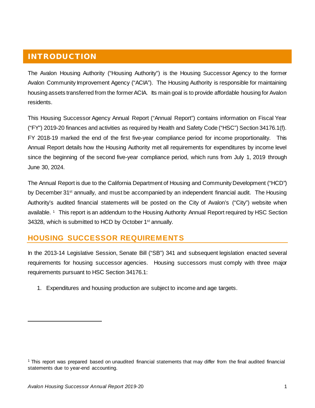## <span id="page-2-0"></span>INTRODUCTION

The Avalon Housing Authority ("Housing Authority") is the Housing Successor Agency to the former Avalon Community Improvement Agency ("ACIA"). The Housing Authority is responsible for maintaining housing assets transferred from the former ACIA. Its main goal is to provide affordable housing for Avalon residents.

This Housing Successor Agency Annual Report ("Annual Report") contains information on Fiscal Year ("FY") 2019-20 finances and activities as required by Health and Safety Code ("HSC") Section 34176.1(f). FY 2018-19 marked the end of the first five-year compliance period for income proportionality. This Annual Report details how the Housing Authority met all requirements for expenditures by income level since the beginning of the second five-year compliance period, which runs from July 1, 2019 through June 30, 2024.

The Annual Report is due to the California Department of Housing and Community Development ("HCD") by December 31<sup>st</sup> annually, and must be accompanied by an independent financial audit. The Housing Authority's audited financial statements will be posted on the City of Avalon's ("City") website when available. <sup>[1](#page-2-2)</sup> This report is an addendum to the Housing Authority Annual Report required by HSC Section 34328, which is submitted to HCD by October 1<sup>st</sup> annually.

### <span id="page-2-1"></span>**HOUSING SUCCESSOR REQUIREMENTS**

In the 2013-14 Legislative Session, Senate Bill ("SB") 341 and subsequent legislation enacted several requirements for housing successor agencies. Housing successors must comply with three major requirements pursuant to HSC Section 34176.1:

1. Expenditures and housing production are subject to income and age targets.

<span id="page-2-2"></span><sup>1</sup> This report was prepared based on unaudited financial statements that may differ from the final audited financial statements due to year-end accounting.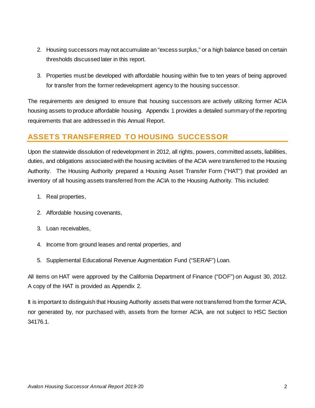- 2. Housing successors may not accumulate an "excess surplus," or a high balance based on certain thresholds discussed later in this report.
- 3. Properties must be developed with affordable housing within five to ten years of being approved for transfer from the former redevelopment agency to the housing successor.

The requirements are designed to ensure that housing successors are actively utilizing former ACIA housing assets to produce affordable housing. Appendix 1 provides a detailed summary of the reporting requirements that are addressed in this Annual Report.

## <span id="page-3-0"></span>**ASSETS TRANSFERRED TO HOUSING SUCCESSOR**

Upon the statewide dissolution of redevelopment in 2012, all rights, powers, committed assets, liabilities, duties, and obligations associated with the housing activities of the ACIA were transferred to the Housing Authority. The Housing Authority prepared a Housing Asset Transfer Form ("HAT") that provided an inventory of all housing assets transferred from the ACIA to the Housing Authority. This included:

- 1. Real properties,
- 2. Affordable housing covenants,
- 3. Loan receivables,
- 4. Income from ground leases and rental properties, and
- 5. Supplemental Educational Revenue Augmentation Fund ("SERAF") Loan.

All items on HAT were approved by the California Department of Finance ("DOF") on August 30, 2012. A copy of the HAT is provided as Appendix 2.

It is important to distinguish that Housing Authority assets that were not transferred from the former ACIA, nor generated by, nor purchased with, assets from the former ACIA, are not subject to HSC Section 34176.1.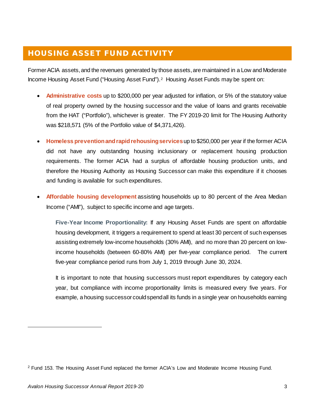## <span id="page-4-0"></span>HOUSING ASSET FUND ACTIVITY

Former ACIA assets, and the revenues generated by those assets, are maintained in a Low and Moderate Income Housing Asset Fund ("Housing Asset Fund").[2](#page-4-1) Housing Asset Funds may be spent on:

- **Administrative costs** up to \$200,000 per year adjusted for inflation, or 5% of the statutory value of real property owned by the housing successor and the value of loans and grants receivable from the HAT ("Portfolio"), whichever is greater. The FY 2019-20 limit for The Housing Authority was \$218,571 (5% of the Portfolio value of \$4,371,426).
- **Homeless prevention and rapid rehousing services**up to \$250,000 per year if the former ACIA did not have any outstanding housing inclusionary or replacement housing production requirements. The former ACIA had a surplus of affordable housing production units, and therefore the Housing Authority as Housing Successor can make this expenditure if it chooses and funding is available for such expenditures.
- **Affordable housing development** assisting households up to 80 percent of the Area Median Income ("AMI"), subject to specific income and age targets.

**Five-Year Income Proportionality:** If any Housing Asset Funds are spent on affordable housing development, it triggers a requirement to spend at least 30 percent of such expenses assisting extremely low-income households (30% AMI), and no more than 20 percent on lowincome households (between 60-80% AMI) per five-year compliance period. The current five-year compliance period runs from July 1, 2019 through June 30, 2024.

It is important to note that housing successors must report expenditures by category each year, but compliance with income proportionality limits is measured every five years. For example, a housing successor could spend all its funds in a single year on households earning

<span id="page-4-1"></span><sup>2</sup> Fund 153. The Housing Asset Fund replaced the former ACIA's Low and Moderate Income Housing Fund.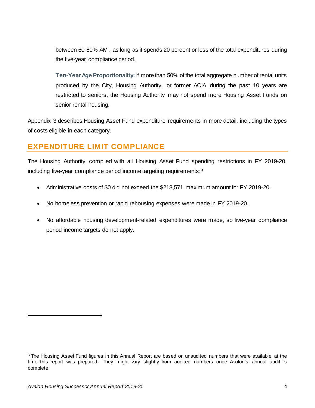between 60-80% AMI, as long as it spends 20 percent or less of the total expenditures during the five-year compliance period.

**Ten-Year Age Proportionality:** If more than 50% of the total aggregate number of rental units produced by the City, Housing Authority, or former ACIA during the past 10 years are restricted to seniors, the Housing Authority may not spend more Housing Asset Funds on senior rental housing.

Appendix 3 describes Housing Asset Fund expenditure requirements in more detail, including the types of costs eligible in each category.

## <span id="page-5-0"></span>**EXPENDITURE LIMIT COMPLIANCE**

The Housing Authority complied with all Housing Asset Fund spending restrictions in FY 2019-20, including five-year compliance period income targeting requirements:<sup>[3](#page-5-1)</sup>

- Administrative costs of \$0 did not exceed the \$218,571 maximum amount for FY 2019-20.
- No homeless prevention or rapid rehousing expenses were made in FY 2019-20.
- No affordable housing development-related expenditures were made, so five-year compliance period income targets do not apply.

<span id="page-5-1"></span><sup>&</sup>lt;sup>3</sup> The Housing Asset Fund figures in this Annual Report are based on unaudited numbers that were available at the time this report was prepared. They might vary slightly from audited numbers once Avalon's annual audit is complete.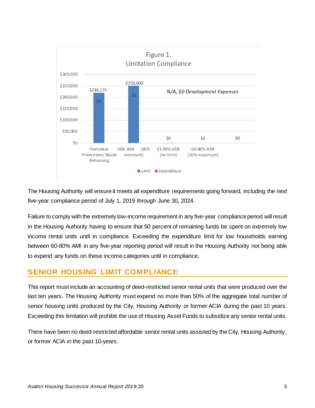

The Housing Authority will ensure it meets all expenditure requirements going forward, including the next five-year compliance period of July 1, 2019 through June 30, 2024.

Failure to comply with the extremely low-income requirement in any five-year compliance period will result in the Housing Authority having to ensure that 50 percent of remaining funds be spent on extremely low income rental units until in compliance. Exceeding the expenditure limit for low households earning between 60-80% AMI in any five-year reporting period will result in the Housing Authority not being able to expend any funds on these income categories until in compliance.

#### <span id="page-6-0"></span>**SENIOR HOUSING LIMIT COMPLIANCE**

This report must include an accounting of deed-restricted senior rental units that were produced over the last ten years. The Housing Authority must expend no more than 50% of the aggregate total number of senior housing units produced by the City, Housing Authority or former ACIA during the past 10 years. Exceeding this limitation will prohibit the use of Housing Asset Funds to subsidize any senior rental units.

There have been no deed-restricted affordable senior rental units assisted by the City, Housing Authority, or former ACIA in the past 10-years.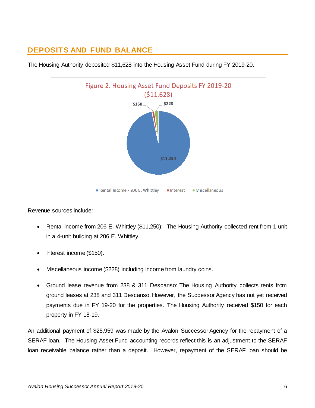## <span id="page-7-0"></span>**DEPOSITS AND FUND BALANCE**



The Housing Authority deposited \$11,628 into the Housing Asset Fund during FY 2019-20.

Revenue sources include:

- Rental income from 206 E. Whittley (\$11,250): The Housing Authority collected rent from 1 unit in a 4-unit building at 206 E. Whittley.
- Interest income (\$150).
- Miscellaneous income (\$228) including income from laundry coins.
- Ground lease revenue from 238 & 311 Descanso: The Housing Authority collects rents from ground leases at 238 and 311 Descanso. However, the Successor Agency has not yet received payments due in FY 19-20 for the properties. The Housing Authority received \$150 for each property in FY 18-19.

An additional payment of \$25,959 was made by the Avalon Successor Agency for the repayment of a SERAF loan. The Housing Asset Fund accounting records reflect this is an adjustment to the SERAF loan receivable balance rather than a deposit. However, repayment of the SERAF loan should be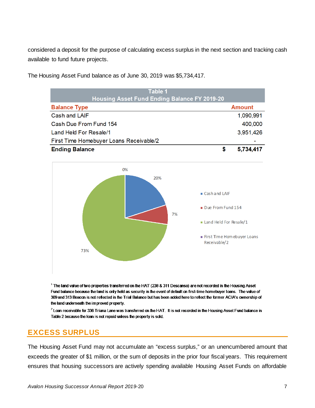considered a deposit for the purpose of calculating excess surplus in the next section and tracking cash available to fund future projects.



The Housing Asset Fund balance as of June 30, 2019 was \$5,734,417.

The land value of two properties transferred on the HAT (238 & 311 Descanso) are not recorded in the Housing Asset Fund balance because the land is only held as security in the event of default on first-time homebuyer loans. The value of 309 and 313 Beacon is not reflected in the Trial Balance but has been added here to reflect the former ACIA's ownership of the land underneath the improved property.

 $2$  Loan receivable for 336 Triana Lane was transferred on the HAT. It is not recorded in the Housing Asset Fund balance in Table 2 because the loan is not repaid unless the property is sold.

### <span id="page-8-0"></span>**EXCESS SURPLUS**

The Housing Asset Fund may not accumulate an "excess surplus," or an unencumbered amount that exceeds the greater of \$1 million, or the sum of deposits in the prior four fiscal years. This requirement ensures that housing successors are actively spending available Housing Asset Funds on affordable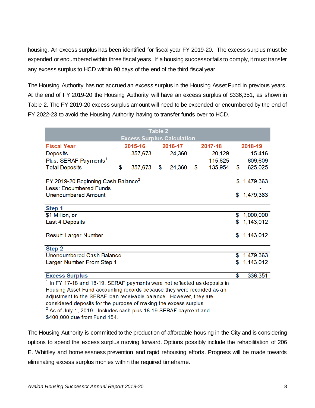housing. An excess surplus has been identified for fiscal year FY 2019-20. The excess surplus must be expended or encumbered within three fiscal years. If a housing successor fails to comply, it must transfer any excess surplus to HCD within 90 days of the end of the third fiscal year.

The Housing Authority has not accrued an excess surplus in the Housing Asset Fund in previous years. At the end of FY 2019-20 the Housing Authority will have an excess surplus of \$336,351, as shown in Table 2. The FY 2019-20 excess surplus amount will need to be expended or encumbered by the end of FY 2022-23 to avoid the Housing Authority having to transfer funds over to HCD.

| <b>Table 2</b>                                                              |    |                                   |                 |                 |               |                 |
|-----------------------------------------------------------------------------|----|-----------------------------------|-----------------|-----------------|---------------|-----------------|
|                                                                             |    | <b>Excess Surplus Calculation</b> |                 |                 |               |                 |
| <b>Fiscal Year</b>                                                          |    | 2015-16                           |                 | 2016-17         | 2017-18       | 2018-19         |
| Deposits                                                                    |    | 357,673                           |                 | 24,360          | 20,129        | 15,416          |
| Plus: SERAF Payments <sup>1</sup>                                           |    |                                   |                 |                 | 115,825       | 609,609         |
| <b>Total Deposits</b>                                                       | \$ | 357,673                           | \$              | 24,360          | \$<br>135,954 | \$<br>625,025   |
|                                                                             |    |                                   |                 |                 |               |                 |
| FY 2019-20 Beginning Cash Balance <sup>2</sup>                              |    |                                   |                 | \$<br>1,479,363 |               |                 |
| Less: Encumbered Funds                                                      |    |                                   |                 |                 |               |                 |
| <b>Unencumbered Amount</b>                                                  |    |                                   |                 |                 |               | \$<br>1,479,363 |
|                                                                             |    |                                   |                 |                 |               |                 |
| Step 1<br>\$1 Million, or                                                   |    |                                   |                 |                 |               | \$1,000,000     |
| <b>Last 4 Deposits</b>                                                      |    |                                   |                 |                 |               | \$<br>1,143,012 |
|                                                                             |    |                                   |                 |                 |               |                 |
| Result: Larger Number                                                       |    |                                   |                 |                 |               | \$<br>1,143,012 |
|                                                                             |    |                                   |                 |                 |               |                 |
| <b>Step 2</b>                                                               |    |                                   |                 |                 |               |                 |
| Unencumbered Cash Balance                                                   |    |                                   |                 | \$1,479,363     |               |                 |
| Larger Number From Step 1                                                   |    |                                   | \$<br>1,143,012 |                 |               |                 |
|                                                                             |    |                                   |                 |                 |               |                 |
| <b>Excess Surplus</b>                                                       |    |                                   |                 |                 |               | \$<br>336,351   |
| In FY 17-18 and 18-19, SERAF payments were not reflected as deposits in     |    |                                   |                 |                 |               |                 |
| Housing Asset Fund accounting records because they were recorded as an      |    |                                   |                 |                 |               |                 |
| adjustment to the SERAF loan receivable balance. However, they are          |    |                                   |                 |                 |               |                 |
| considered deposits for the purpose of making the excess surplus            |    |                                   |                 |                 |               |                 |
| <sup>2</sup> As of July 1, 2019. Includes cash plus 18-19 SERAF payment and |    |                                   |                 |                 |               |                 |

\$400,000 due from Fund 154.

<span id="page-9-0"></span>The Housing Authority is committed to the production of affordable housing in the City and is considering options to spend the excess surplus moving forward. Options possibly include the rehabilitation of 206 E. Whittley and homelessness prevention and rapid rehousing efforts. Progress will be made towards eliminating excess surplus monies within the required timeframe.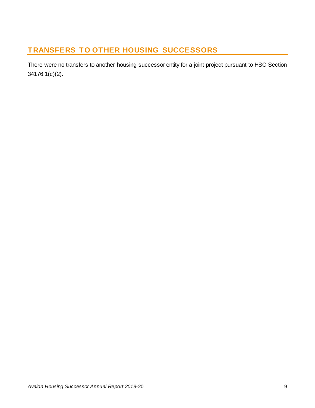## **TRANSFERS TO OTHER HOUSING SUCCESSORS**

There were no transfers to another housing successor entity for a joint project pursuant to HSC Section 34176.1(c)(2).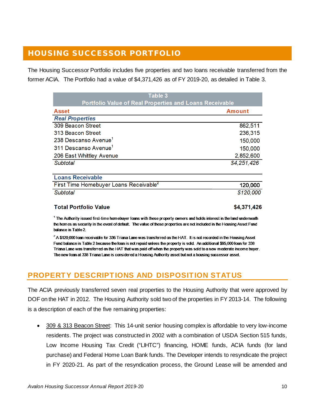## <span id="page-11-0"></span>HOUSING SUCCESSOR PORTFOLIO

The Housing Successor Portfolio includes five properties and two loans receivable transferred from the former ACIA. The Portfolio had a value of \$4,371,426 as of FY 2019-20, as detailed in Table 3.

| Table 3                                                        |               |
|----------------------------------------------------------------|---------------|
| <b>Portfolio Value of Real Properties and Loans Receivable</b> |               |
| <b>Asset</b>                                                   | <b>Amount</b> |
| <b>Real Properties</b>                                         |               |
| 309 Beacon Street                                              | 862,511       |
| 313 Beacon Street                                              | 236,315       |
| 238 Descanso Avenue <sup>1</sup>                               | 150,000       |
| 311 Descanso Avenue <sup>1</sup>                               | 150,000       |
| 206 East Whittley Avenue                                       | 2,852,600     |
| Subtotal                                                       | \$4,251,426   |
| <b>Loans Receivable</b>                                        |               |
| First Time Homebuyer Loans Receivable <sup>2</sup>             | 120,000       |
| Subtotal                                                       | \$120,000     |

#### **Total Portfolio Value**

\$4,371,426

<sup>1</sup> The Authority issued first-time homebuyer loans with these property owners and holds interest in the land underneath the homes as security in the event of default. The value of these properties are not included in the Housing Asset Fund balance in Table 2

 $^2$  A \$120,000 loan receivable for 336 Triana Lane was transferred on the HAT. It is not recorded in the Housing Asset Fund balance in Table 2 because the loan is not repaid unless the property is sold. An additional \$95,000 loan for 338 Triana Lane was transferred on the HAT that was paid off when the property was sold to a new moderate income buyer. The new loan at 338 Triana Lane is considered a Housing Authority asset but not a housing successor asset.

## <span id="page-11-1"></span>**PROPERTY DESCRIPTIONS AND DISPOSITION STATUS**

The ACIA previously transferred seven real properties to the Housing Authority that were approved by DOF on the HAT in 2012. The Housing Authority sold two of the properties in FY 2013-14. The following is a description of each of the five remaining properties:

309 & 313 Beacon Street: This 14-unit senior housing complex is affordable to very low-income residents. The project was constructed in 2002 with a combination of USDA Section 515 funds, Low Income Housing Tax Credit ("LIHTC") financing, HOME funds, ACIA funds (for land purchase) and Federal Home Loan Bank funds. The Developer intends to resyndicate the project in FY 2020-21. As part of the resyndication process, the Ground Lease will be amended and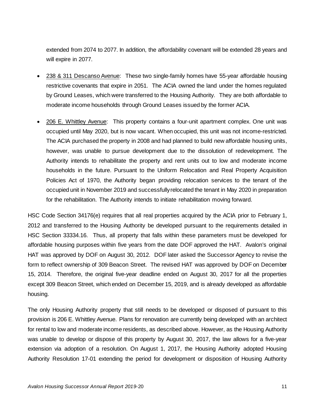extended from 2074 to 2077. In addition, the affordability covenant will be extended 28 years and will expire in 2077.

- 238 & 311 Descanso Avenue: These two single-family homes have 55-year affordable housing restrictive covenants that expire in 2051. The ACIA owned the land under the homes regulated by Ground Leases, which were transferred to the Housing Authority. They are both affordable to moderate income households through Ground Leases issued by the former ACIA.
- 206 E. Whittley Avenue: This property contains a four-unit apartment complex. One unit was occupied until May 2020, but is now vacant. When occupied, this unit was not income-restricted. The ACIA purchased the property in 2008 and had planned to build new affordable housing units, however, was unable to pursue development due to the dissolution of redevelopment. The Authority intends to rehabilitate the property and rent units out to low and moderate income households in the future. Pursuant to the Uniform Relocation and Real Property Acquisition Policies Act of 1970, the Authority began providing relocation services to the tenant of the occupied unit in November 2019 and successfully relocated the tenant in May 2020 in preparation for the rehabilitation. The Authority intends to initiate rehabilitation moving forward.

HSC Code Section 34176(e) requires that all real properties acquired by the ACIA prior to February 1, 2012 and transferred to the Housing Authority be developed pursuant to the requirements detailed in HSC Section 33334.16. Thus, all property that falls within these parameters must be developed for affordable housing purposes within five years from the date DOF approved the HAT. Avalon's original HAT was approved by DOF on August 30, 2012. DOF later asked the Successor Agency to revise the form to reflect ownership of 309 Beacon Street. The revised HAT was approved by DOF on December 15, 2014. Therefore, the original five-year deadline ended on August 30, 2017 for all the properties except 309 Beacon Street, which ended on December 15, 2019, and is already developed as affordable housing.

The only Housing Authority property that still needs to be developed or disposed of pursuant to this provision is 206 E. Whittley Avenue. Plans for renovation are currently being developed with an architect for rental to low and moderate income residents, as described above. However, as the Housing Authority was unable to develop or dispose of this property by August 30, 2017, the law allows for a five-year extension via adoption of a resolution. On August 1, 2017, the Housing Authority adopted Housing Authority Resolution 17-01 extending the period for development or disposition of Housing Authority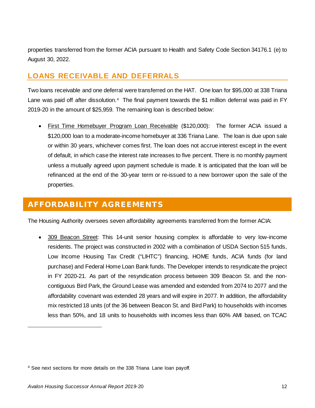properties transferred from the former ACIA pursuant to Health and Safety Code Section 34176.1 (e) to August 30, 2022.

## <span id="page-13-0"></span>**LOANS RECEIVABLE AND DEFERRALS**

Two loans receivable and one deferral were transferred on the HAT. One loan for \$95,000 at 338 Triana Lane was paid off after dissolution.<sup>[4](#page-13-2)</sup> The final payment towards the \$1 million deferral was paid in FY 2019-20 in the amount of \$25,959. The remaining loan is described below:

• First Time Homebuyer Program Loan Receivable (\$120,000): The former ACIA issued a \$120,000 loan to a moderate-income homebuyer at 336 Triana Lane. The loan is due upon sale or within 30 years, whichever comes first. The loan does not accrue interest except in the event of default, in which case the interest rate increases to five percent. There is no monthly payment unless a mutually agreed upon payment schedule is made. It is anticipated that the loan will be refinanced at the end of the 30-year term or re-issued to a new borrower upon the sale of the properties.

## <span id="page-13-1"></span>AFFORDABILITY AGREEMENTS

The Housing Authority oversees seven affordability agreements transferred from the former ACIA:

• 309 Beacon Street: This 14-unit senior housing complex is affordable to very low-income residents. The project was constructed in 2002 with a combination of USDA Section 515 funds, Low Income Housing Tax Credit ("LIHTC") financing, HOME funds, ACIA funds (for land purchase) and Federal Home Loan Bank funds. The Developer intends to resyndicate the project in FY 2020-21. As part of the resyndication process between 309 Beacon St. and the noncontiguous Bird Park, the Ground Lease was amended and extended from 2074 to 2077 and the affordability covenant was extended 28 years and will expire in 2077. In addition, the affordability mix restricted 18 units (of the 36 between Beacon St. and Bird Park) to households with incomes less than 50%, and 18 units to households with incomes less than 60% AMI based, on TCAC

<span id="page-13-2"></span><sup>4</sup> See next sections for more details on the 338 Triana Lane loan payoff.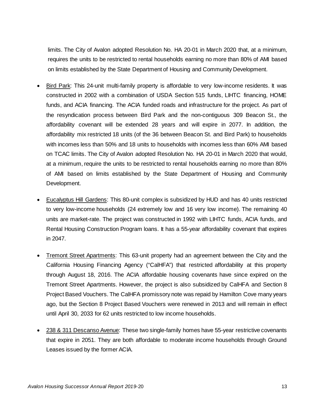limits. The City of Avalon adopted Resolution No. HA 20-01 in March 2020 that, at a minimum, requires the units to be restricted to rental households earning no more than 80% of AMI based on limits established by the State Department of Housing and Community Development.

- Bird Park: This 24-unit multi-family property is affordable to very low-income residents. It was constructed in 2002 with a combination of USDA Section 515 funds, LIHTC financing, HOME funds, and ACIA financing. The ACIA funded roads and infrastructure for the project. As part of the resyndication process between Bird Park and the non-contiguous 309 Beacon St., the affordability covenant will be extended 28 years and will expire in 2077. In addition, the affordability mix restricted 18 units (of the 36 between Beacon St. and Bird Park) to households with incomes less than 50% and 18 units to households with incomes less than 60% AMI based on TCAC limits. The City of Avalon adopted Resolution No. HA 20-01 in March 2020 that would, at a minimum, require the units to be restricted to rental households earning no more than 80% of AMI based on limits established by the State Department of Housing and Community Development.
- Eucalyptus Hill Gardens: This 80-unit complex is subsidized by HUD and has 40 units restricted to very low-income households (24 extremely low and 16 very low income). The remaining 40 units are market-rate. The project was constructed in 1992 with LIHTC funds, ACIA funds, and Rental Housing Construction Program loans. It has a 55-year affordability covenant that expires in 2047.
- Tremont Street Apartments: This 63-unit property had an agreement between the City and the California Housing Financing Agency ("CalHFA") that restricted affordability at this property through August 18, 2016. The ACIA affordable housing covenants have since expired on the Tremont Street Apartments. However, the project is also subsidized by CalHFA and Section 8 Project Based Vouchers. The CalHFA promissory note was repaid by Hamilton Cove many years ago, but the Section 8 Project Based Vouchers were renewed in 2013 and will remain in effect until April 30, 2033 for 62 units restricted to low income households.
- 238 & 311 Descanso Avenue: These two single-family homes have 55-year restrictive covenants that expire in 2051. They are both affordable to moderate income households through Ground Leases issued by the former ACIA.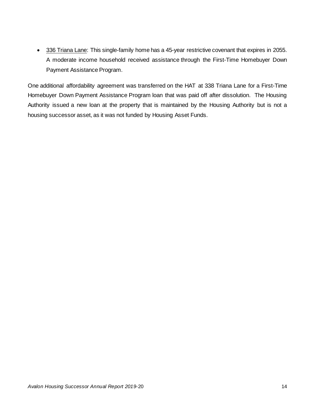• 336 Triana Lane: This single-family home has a 45-year restrictive covenant that expires in 2055. A moderate income household received assistance through the First-Time Homebuyer Down Payment Assistance Program.

One additional affordability agreement was transferred on the HAT at 338 Triana Lane for a First-Time Homebuyer Down Payment Assistance Program loan that was paid off after dissolution. The Housing Authority issued a new loan at the property that is maintained by the Housing Authority but is not a housing successor asset, as it was not funded by Housing Asset Funds.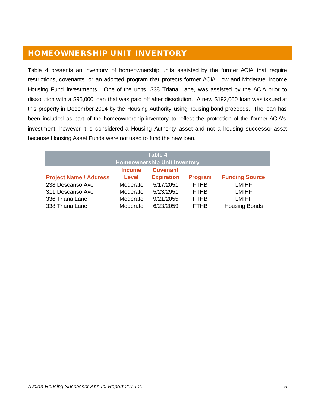## <span id="page-16-0"></span>HOMEOWNERSHIP UNIT INVENTORY

Table 4 presents an inventory of homeownership units assisted by the former ACIA that require restrictions, covenants, or an adopted program that protects former ACIA Low and Moderate Income Housing Fund investments. One of the units, 338 Triana Lane, was assisted by the ACIA prior to dissolution with a \$95,000 loan that was paid off after dissolution. A new \$192,000 loan was issued at this property in December 2014 by the Housing Authority using housing bond proceeds. The loan has been included as part of the homeownership inventory to reflect the protection of the former ACIA's investment, however it is considered a Housing Authority asset and not a housing successor asset because Housing Asset Funds were not used to fund the new loan.

| Table 4                             |               |                   |                |                       |
|-------------------------------------|---------------|-------------------|----------------|-----------------------|
| <b>Homeownership Unit Inventory</b> |               |                   |                |                       |
|                                     | <b>Income</b> | <b>Covenant</b>   |                |                       |
| <b>Project Name / Address</b>       | <b>Level</b>  | <b>Expiration</b> | <b>Program</b> | <b>Funding Source</b> |
| 238 Descanso Ave                    | Moderate      | 5/17/2051         | <b>FTHB</b>    | <b>LMIHF</b>          |
| 311 Descanso Ave                    | Moderate      | 5/23/2951         | <b>FTHB</b>    | <b>LMIHF</b>          |
| 336 Triana Lane                     | Moderate      | 9/21/2055         | <b>FTHB</b>    | <b>LMIHF</b>          |
| 338 Triana Lane                     | Moderate      | 6/23/2059         | <b>FTHB</b>    | <b>Housing Bonds</b>  |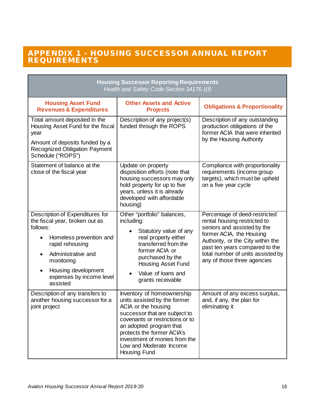#### <span id="page-17-0"></span>APPENDIX 1 - HOUSING SUCCESSOR ANNUAL REPORT REQUIREMENTS

| <b>Housing Successor Reporting Requirements</b><br>Health and Safety Code Section 34176.1(f)                                                                                                                                                             |                                                                                                                                                                                                                                                                                            |                                                                                                                                                                                                                                                                     |  |  |
|----------------------------------------------------------------------------------------------------------------------------------------------------------------------------------------------------------------------------------------------------------|--------------------------------------------------------------------------------------------------------------------------------------------------------------------------------------------------------------------------------------------------------------------------------------------|---------------------------------------------------------------------------------------------------------------------------------------------------------------------------------------------------------------------------------------------------------------------|--|--|
| <b>Housing Asset Fund</b><br><b>Revenues &amp; Expenditures</b>                                                                                                                                                                                          | <b>Other Assets and Active</b><br><b>Projects</b>                                                                                                                                                                                                                                          | <b>Obligations &amp; Proportionality</b>                                                                                                                                                                                                                            |  |  |
| Total amount deposited in the<br>Housing Asset Fund for the fiscal<br>year<br>Amount of deposits funded by a<br><b>Recognized Obligation Payment</b><br>Schedule ("ROPS")                                                                                | Description of any project(s)<br>funded through the ROPS                                                                                                                                                                                                                                   | Description of any outstanding<br>production obligations of the<br>former ACIA that were inherited<br>by the Housing Authority                                                                                                                                      |  |  |
| Statement of balance at the<br>close of the fiscal year                                                                                                                                                                                                  | Update on property<br>disposition efforts (note that<br>housing successors may only<br>hold property for up to five<br>years, unless it is already<br>developed with affordable<br>housing)                                                                                                | Compliance with proportionality<br>requirements (income group<br>targets), which must be upheld<br>on a five year cycle                                                                                                                                             |  |  |
| Description of Expenditures for<br>the fiscal year, broken out as<br>follows:<br>Homeless prevention and<br>rapid rehousing<br>Administrative and<br>$\bullet$<br>monitoring<br>Housing development<br>$\bullet$<br>expenses by income level<br>assisted | Other "portfolio" balances,<br>including:<br>Statutory value of any<br>real property either<br>transferred from the<br>former ACIA or<br>purchased by the<br><b>Housing Asset Fund</b><br>Value of loans and<br>grants receivable                                                          | Percentage of deed-restricted<br>rental housing restricted to<br>seniors and assisted by the<br>former ACIA, the Housing<br>Authority, or the City within the<br>past ten years compared to the<br>total number of units assisted by<br>any of those three agencies |  |  |
| Description of any transfers to<br>another housing successor for a<br>joint project                                                                                                                                                                      | Inventory of homeownership<br>units assisted by the former<br>ACIA or the housing<br>successor that are subject to<br>covenants or restrictions or to<br>an adopted program that<br>protects the former ACIA's<br>investment of monies from the<br>Low and Moderate Income<br>Housing Fund | Amount of any excess surplus,<br>and, if any, the plan for<br>eliminating it                                                                                                                                                                                        |  |  |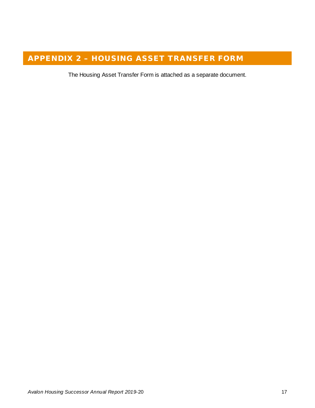# <span id="page-18-0"></span>APPENDIX 2 – HOUSING ASSET TRANSFER FORM

The Housing Asset Transfer Form is attached as a separate document.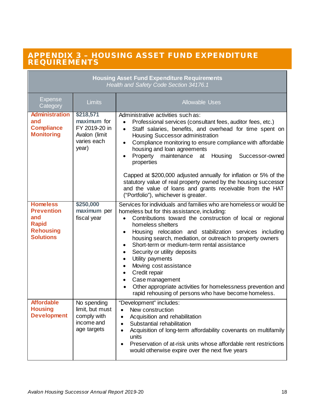#### <span id="page-19-0"></span>APPENDIX 3 – HOUSING ASSET FUND EXPENDITURE REQUIREMENTS

| <b>Housing Asset Fund Expenditure Requirements</b><br>Health and Safety Code Section 34176.1        |                                                                                    |                                                                                                                                                                                                                                                                                                                                                                                                                                                                                                                                                                                                                                                                                         |  |  |
|-----------------------------------------------------------------------------------------------------|------------------------------------------------------------------------------------|-----------------------------------------------------------------------------------------------------------------------------------------------------------------------------------------------------------------------------------------------------------------------------------------------------------------------------------------------------------------------------------------------------------------------------------------------------------------------------------------------------------------------------------------------------------------------------------------------------------------------------------------------------------------------------------------|--|--|
| <b>Expense</b><br>Category                                                                          | Limits                                                                             | <b>Allowable Uses</b>                                                                                                                                                                                                                                                                                                                                                                                                                                                                                                                                                                                                                                                                   |  |  |
| <b>Administration</b><br>and<br><b>Compliance</b><br><b>Monitoring</b>                              | \$218,571<br>maximum for<br>FY 2019-20 in<br>Avalon (limit<br>varies each<br>year) | Administrative activities such as:<br>Professional services (consultant fees, auditor fees, etc.)<br>$\bullet$<br>Staff salaries, benefits, and overhead for time spent on<br>$\bullet$<br>Housing Successor administration<br>Compliance monitoring to ensure compliance with affordable<br>$\bullet$<br>housing and loan agreements<br>Property maintenance<br>Housing<br>Successor-owned<br>at<br>properties<br>Capped at \$200,000 adjusted annually for inflation or 5% of the<br>statutory value of real property owned by the housing successor                                                                                                                                  |  |  |
|                                                                                                     |                                                                                    | and the value of loans and grants receivable from the HAT<br>("Portfolio"), whichever is greater.                                                                                                                                                                                                                                                                                                                                                                                                                                                                                                                                                                                       |  |  |
| <b>Homeless</b><br><b>Prevention</b><br>and<br><b>Rapid</b><br><b>Rehousing</b><br><b>Solutions</b> | \$250,000<br>maximum per<br>fiscal year                                            | Services for individuals and families who are homeless or would be<br>homeless but for this assistance, including:<br>Contributions toward the construction of local or regional<br>homeless shelters<br>Housing relocation and stabilization services including<br>$\bullet$<br>housing search, mediation, or outreach to property owners<br>Short-term or medium-term rental assistance<br>Security or utility deposits<br>Utility payments<br>$\bullet$<br>Moving cost assistance<br>$\bullet$<br>Credit repair<br>$\bullet$<br>Case management<br>$\bullet$<br>Other appropriate activities for homelessness prevention and<br>rapid rehousing of persons who have become homeless. |  |  |
| <b>Affordable</b><br><b>Housing</b><br><b>Development</b>                                           | No spending<br>limit, but must<br>comply with<br>income and<br>age targets         | "Development" includes:<br>New construction<br>$\bullet$<br>Acquisition and rehabilitation<br>$\bullet$<br>Substantial rehabilitation<br>$\bullet$<br>Acquisition of long-term affordability covenants on multifamily<br>units<br>Preservation of at-risk units whose affordable rent restrictions<br>$\bullet$<br>would otherwise expire over the next five years                                                                                                                                                                                                                                                                                                                      |  |  |